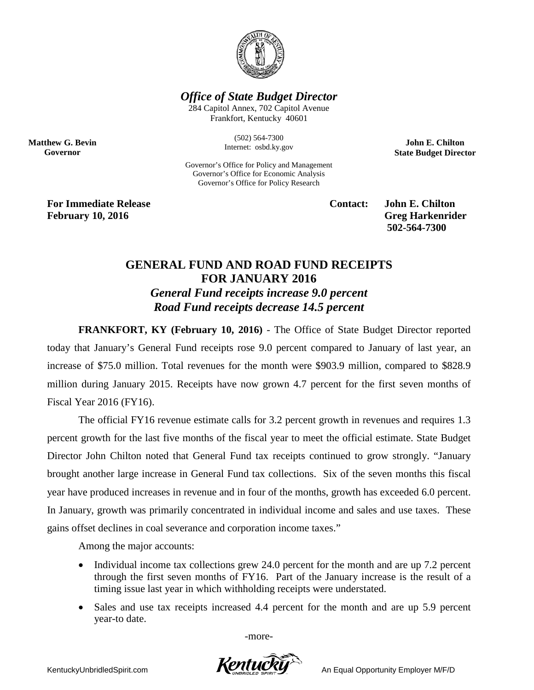

*Office of State Budget Director*

284 Capitol Annex, 702 Capitol Avenue Frankfort, Kentucky 40601

> (502) 564-7300 Internet: osbd.ky.gov

Governor's Office for Policy and Management Governor's Office for Economic Analysis Governor's Office for Policy Research

**John E. Chilton State Budget Director**

**For Immediate Release Contact: John E. Chilton** February 10, 2016 **Greg Harkenrider** 

**Matthew G. Bevin Governor**

**502-564-7300** 

## **GENERAL FUND AND ROAD FUND RECEIPTS FOR JANUARY 2016** *General Fund receipts increase 9.0 percent Road Fund receipts decrease 14.5 percent*

**FRANKFORT, KY (February 10, 2016)** - The Office of State Budget Director reported today that January's General Fund receipts rose 9.0 percent compared to January of last year, an increase of \$75.0 million. Total revenues for the month were \$903.9 million, compared to \$828.9 million during January 2015. Receipts have now grown 4.7 percent for the first seven months of Fiscal Year 2016 (FY16).

The official FY16 revenue estimate calls for 3.2 percent growth in revenues and requires 1.3 percent growth for the last five months of the fiscal year to meet the official estimate. State Budget Director John Chilton noted that General Fund tax receipts continued to grow strongly. "January brought another large increase in General Fund tax collections. Six of the seven months this fiscal year have produced increases in revenue and in four of the months, growth has exceeded 6.0 percent. In January, growth was primarily concentrated in individual income and sales and use taxes. These gains offset declines in coal severance and corporation income taxes."

Among the major accounts:

- Individual income tax collections grew 24.0 percent for the month and are up 7.2 percent through the first seven months of FY16. Part of the January increase is the result of a timing issue last year in which withholding receipts were understated.
- Sales and use tax receipts increased 4.4 percent for the month and are up 5.9 percent year-to date.

-more-

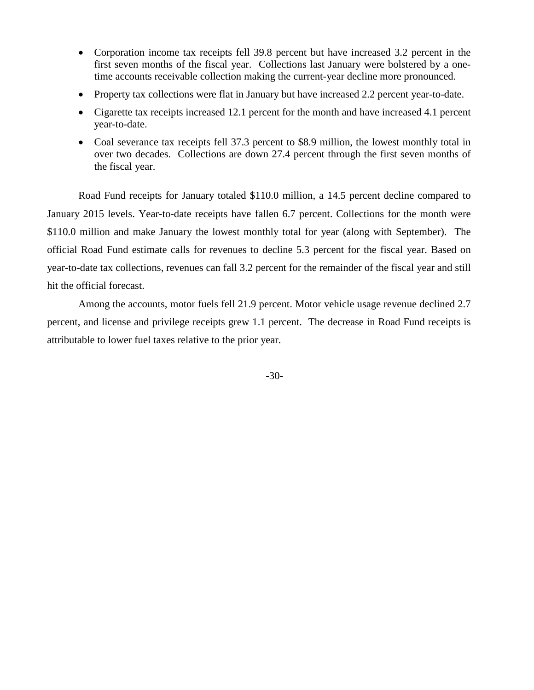- Corporation income tax receipts fell 39.8 percent but have increased 3.2 percent in the first seven months of the fiscal year. Collections last January were bolstered by a onetime accounts receivable collection making the current-year decline more pronounced.
- Property tax collections were flat in January but have increased 2.2 percent year-to-date.
- Cigarette tax receipts increased 12.1 percent for the month and have increased 4.1 percent year-to-date.
- Coal severance tax receipts fell 37.3 percent to \$8.9 million, the lowest monthly total in over two decades. Collections are down 27.4 percent through the first seven months of the fiscal year.

Road Fund receipts for January totaled \$110.0 million, a 14.5 percent decline compared to January 2015 levels. Year-to-date receipts have fallen 6.7 percent. Collections for the month were \$110.0 million and make January the lowest monthly total for year (along with September). The official Road Fund estimate calls for revenues to decline 5.3 percent for the fiscal year. Based on year-to-date tax collections, revenues can fall 3.2 percent for the remainder of the fiscal year and still hit the official forecast.

Among the accounts, motor fuels fell 21.9 percent. Motor vehicle usage revenue declined 2.7 percent, and license and privilege receipts grew 1.1 percent. The decrease in Road Fund receipts is attributable to lower fuel taxes relative to the prior year.

-30-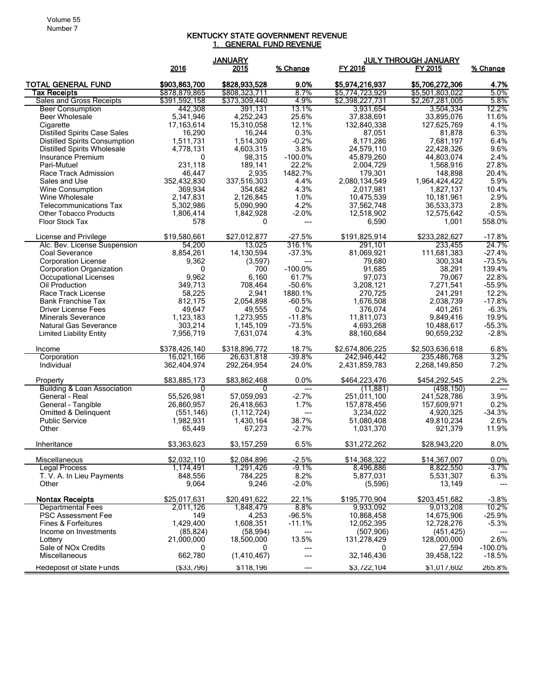## KENTUCKY STATE GOVERNMENT REVENUE 1. GENERAL FUND REVENUE

|                                              | <b>JANUARY</b>         |                       |                 | <b>JULY THROUGH JANUARY</b> |                            |                      |  |
|----------------------------------------------|------------------------|-----------------------|-----------------|-----------------------------|----------------------------|----------------------|--|
|                                              | 2016                   | 2015                  | % Change        | FY 2016                     | FY 2015                    | % Change             |  |
| <b>TOTAL GENERAL FUND</b>                    | \$903,863,700          | \$828,933,528         | 9.0%            | \$5,974,216,937             | \$5,706,272,306            | 4.7%                 |  |
| Tax Receipts                                 | \$878,879,865          | \$808,323,711         | 8.7%            | \$5,774,723,929             | \$5,501,803,022            | 5.0%                 |  |
| Sales and Gross Receipts                     | \$391,592,158          | \$373,309,440         | 4.9%            | \$2,398,227,731             | \$2,267,281,005            | 5.8%                 |  |
| <b>Beer Consumption</b>                      | 442,308                | 391,131               | 13.1%           | 3,931,654                   | 3,504,334                  | 12.2%                |  |
| <b>Beer Wholesale</b>                        | 5,341,946              | 4,252,243             | 25.6%           | 37,838,691                  | 33,895,076                 | 11.6%                |  |
| Cigarette                                    | 17,163,614             | 15,310,058            | 12.1%           | 132,840,338                 | 127,625,769                | 4.1%                 |  |
| <b>Distilled Spirits Case Sales</b>          | 16,290                 | 16,244                | 0.3%            | 87,051                      | 81,878                     | 6.3%                 |  |
| <b>Distilled Spirits Consumption</b>         | 1,511,731              | 1,514,309             | $-0.2%$         | 8,171,286                   | 7,681,197                  | 6.4%                 |  |
| <b>Distilled Spirits Wholesale</b>           | 4,778,131              | 4,603,315             | 3.8%            | 24,579,110                  | 22,428,326                 | 9.6%                 |  |
| Insurance Premium                            | $\mathbf{0}$           | 98,315                | $-100.0%$       | 45,879,260                  | 44,803,074                 | 2.4%                 |  |
| Pari-Mutuel                                  | 231,118                | 189,141               | 22.2%           | 2,004,729                   | 1,568,916                  | 27.8%<br>20.4%       |  |
| Race Track Admission                         | 46,447                 | 2,935                 | 1482.7%         | 179,301                     | 148,898                    | 5.9%                 |  |
| Sales and Use                                | 352,432,830<br>369,934 | 337,516,303           | 4.4%<br>4.3%    | 2,080,134,549               | 1,964,424,422<br>1,827,137 | 10.4%                |  |
| Wine Consumption<br>Wine Wholesale           | 2,147,831              | 354,682<br>2,126,845  | 1.0%            | 2,017,981<br>10,475,539     | 10,181,961                 | 2.9%                 |  |
| <b>Telecommunications Tax</b>                | 5,302,986              | 5,090,990             | 4.2%            | 37,562,748                  | 36,533,373                 | 2.8%                 |  |
| <b>Other Tobacco Products</b>                | 1,806,414              | 1,842,928             | $-2.0%$         | 12,518,902                  | 12,575,642                 | $-0.5%$              |  |
| Floor Stock Tax                              | 578                    | 0                     | $\overline{a}$  | 6,590                       | 1,001                      | 558.0%               |  |
|                                              |                        |                       |                 |                             |                            |                      |  |
| License and Privilege                        | \$19,580,661           | \$27.012.877          | $-27.5%$        | \$191,825,914               | \$233,282,627              | $-17.8%$             |  |
| Alc. Bev. License Suspension                 | 54,200                 | 13.025                | 316.1%          | 291.101                     | 233,455                    | 24.7%                |  |
| Coal Severance<br><b>Corporation License</b> | 8,854,261<br>9,362     | 14,130,594<br>(3,597) | $-37.3%$<br>--- | 81,069,921<br>79,680        | 111,681,383<br>300,334     | $-27.4%$<br>$-73.5%$ |  |
| <b>Corporation Organization</b>              | $\mathbf{0}$           | 700                   | $-100.0%$       | 91,685                      | 38,291                     | 139.4%               |  |
| Occupational Licenses                        | 9,962                  | 6,160                 | 61.7%           | 97,073                      | 79,067                     | 22.8%                |  |
| Oil Production                               | 349,713                | 708,464               | $-50.6%$        | 3,208,121                   | 7,271,541                  | $-55.9%$             |  |
| Race Track License                           | 58,225                 | 2,941                 | 1880.1%         | 270,725                     | 241,291                    | 12.2%                |  |
| <b>Bank Franchise Tax</b>                    | 812,175                | 2,054,898             | $-60.5%$        | 1,676,508                   | 2,038,739                  | $-17.8%$             |  |
| Driver License Fees                          | 49,647                 | 49,555                | 0.2%            | 376,074                     | 401,261                    | $-6.3%$              |  |
| <b>Minerals Severance</b>                    | 1,123,183              | 1,273,955             | $-11.8%$        | 11,811,073                  | 9,849,416                  | 19.9%                |  |
| <b>Natural Gas Severance</b>                 | 303,214                | 1,145,109             | $-73.5%$        | 4,693,268                   | 10,488,617                 | $-55.3%$             |  |
| <b>Limited Liability Entity</b>              | 7,956,719              | 7,631,074             | 4.3%            | 88,160,684                  | 90,659,232                 | $-2.8%$              |  |
| Income                                       | \$378,426,140          | \$318,896,772         | 18.7%           | \$2,674,806,225             | \$2,503,636,618            | 6.8%                 |  |
| Corporation                                  | 16,021,166             | 26,631,818            | $-39.8%$        | 242,946,442                 | 235,486,768                | 3.2%                 |  |
| Individual                                   | 362,404,974            | 292,264,954           | 24.0%           | 2,431,859,783               | 2,268,149,850              | 7.2%                 |  |
| Property                                     | \$83,885,173           | \$83,862,468          | 0.0%            | \$464,223,476               | \$454,292,545              | 2.2%                 |  |
| <b>Building &amp; Loan Association</b>       | $\overline{0}$         | 0                     | $\overline{a}$  | (11, 881)                   | (498, 150)                 | $\overline{a}$       |  |
| General - Real                               | 55,526,981             | 57,059,093            | $-2.7%$         | 251,011,100                 | 241,528,786                | 3.9%                 |  |
| General - Tangible                           | 26,860,957             | 26,418,663            | 1.7%            | 157,878,456                 | 157,609,971                | 0.2%                 |  |
| Omitted & Delinquent                         | (551, 146)             | (1, 112, 724)         | ---             | 3,234,022                   | 4,920,325                  | $-34.3%$             |  |
| <b>Public Service</b>                        | 1,982,931              | 1,430,164             | 38.7%           | 51,080,408                  | 49,810,234                 | 2.6%                 |  |
| Other                                        | 65,449                 | 67,273                | $-2.7%$         | 1,031,370                   | 921,379                    | 11.9%                |  |
| Inheritance                                  | \$3,363,623            | \$3,157,259           | 6.5%            | \$31,272,262                | \$28,943,220               | 8.0%                 |  |
| Miscellaneous                                | \$2,032,110            | \$2,084,896           | $-2.5%$         | \$14.368.322                | \$14,367,007               | 0.0%                 |  |
| <b>Legal Process</b>                         | 1,174,491              | 1,291,426             | $-9.1%$         | 8,496,886                   | 8,822,550                  | -3.7%                |  |
| T. V. A. In Lieu Payments                    | 848,556                | 784,225               | 8.2%            | 5,877,031                   | 5,531,307                  | 6.3%                 |  |
| Other                                        | 9,064                  | 9,246                 | $-2.0%$         | (5,596)                     | 13,149                     |                      |  |
| <b>Nontax Receipts</b>                       | \$25,017,631           | \$20.491.622          | 22.1%           | \$195,770,904               | \$203.451.682              | $-3.8%$              |  |
| <b>Departmental Fees</b>                     | 2,011,126              | 1,848,479             | 8.8%            | 9,933,092                   | 9,013,208                  | 10.2%                |  |
| <b>PSC Assessment Fee</b>                    | 149                    | 4,253                 | $-96.5%$        | 10,868,458                  | 14,675,906                 | $-25.9%$             |  |
| <b>Fines &amp; Forfeitures</b>               | 1,429,400              | 1,608,351             | $-11.1%$        | 12,052,395                  | 12,728,276                 | $-5.3%$              |  |
| Income on Investments                        | (85, 824)              | (58, 994)             | ---             | (507, 906)                  | (451, 425)                 |                      |  |
| Lottery                                      | 21,000,000             | 18,500,000            | 13.5%           | 131,278,429                 | 128,000,000                | 2.6%                 |  |
| Sale of NO <sub>x</sub> Credits              | 0                      | 0                     | ---             |                             | 27,594                     | $-100.0\%$           |  |
| Miscellaneous                                | 662,780                | (1,410,467)           |                 | 32,146,436                  | 39,458,122                 | $-18.5%$             |  |
| <b>Redeposit of State Funds</b>              | ( \$33,796)            | \$118,196             | ---             | \$3,722,104                 | \$1,017,602                | 265.8%               |  |